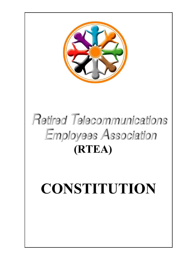

## Retired Telecommunications **Employees Association (RTEA)**

# **CONSTITUTION**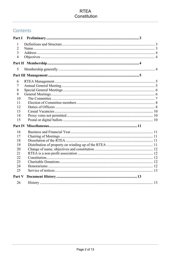## **RTEA** Constitution

## Contents

| Part I         |  |  |
|----------------|--|--|
| 1              |  |  |
| 2              |  |  |
| 3              |  |  |
| $\overline{4}$ |  |  |
|                |  |  |
| 5              |  |  |
|                |  |  |
| 6              |  |  |
| $\frac{1}{2}$  |  |  |
| 8              |  |  |
| 9              |  |  |
| 10             |  |  |
| 11             |  |  |
| 12             |  |  |
| 13             |  |  |
| 14             |  |  |
| 15             |  |  |
|                |  |  |
| 16             |  |  |
| 17             |  |  |
| 18             |  |  |
| 19             |  |  |
| 20             |  |  |
| 21             |  |  |
| 22             |  |  |
| 23             |  |  |
| 24             |  |  |
| 25             |  |  |
| Part V         |  |  |
| 26             |  |  |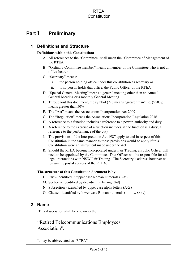## <span id="page-2-1"></span><span id="page-2-0"></span>**Part I Preliminary**

## **1 Definitions and Structure**

#### **Definitions within this Constitution:**

- A. All references to the "Committee" shall mean the "Committee of Management of the RTEA"
- B. "Ordinary Committee member" means a member of the Committee who is not an office-bearer
- C. "Secretary" means:
	- i. the person holding office under this constitution as secretary or
	- ii. if no person holds that office, the Public Officer of the RTEA.
- D. "Special General Meeting" means a general meeting other than an Annual General Meeting or a monthly General Meeting
- E. Throughout this document, the symbol  $(>)$  means "greater than" i.e.  $($ >50%) means greater than 50%
- F. The "Act" means the [Associations Incorporation Act 2009](http://www.legislation.nsw.gov.au/xref/inforce/?xref=Type%3Dact%20AND%20Year%3D2009%20AND%20no%3D7&nohits=y)
- G. The "Regulation" means the [Associations Incorporation Regulation 2016](http://www.legislation.nsw.gov.au/xref/inforce/?xref=Type%3Dsubordleg%20AND%20Year%3D2010%20AND%20No%3D238&nohits=y)
- H. A reference to a function includes a reference to a power, authority and duty
- I. A reference to the exercise of a function includes, if the function is a duty, a reference to the performance of the duty
- J. The provisions of the [Interpretation Act 1987](http://www.legislation.nsw.gov.au/xref/inforce/?xref=Type%3Dact%20AND%20Year%3D1987%20AND%20no%3D15&nohits=y) apply to and in respect of this Constitution in the same manner as those provisions would so apply if this Constitution were an instrument made under the Act
- K. Should the RTEA become incorporated under Fair Trading, a Public Officer will need to be appointed by the Committee. That Officer will be responsible for all legal interactions with NSW Fair Trading. The Secretary's address however will remain the postal address of the RTEA.

#### **The structure of this Constitution document is by:**

- L. Part identified in upper case Roman numerals (I–V)
- M. Section identified by decadic numbering (0-9)
- N. Subsection identified by upper case alpha letters (A-Z)
- O. Clause identified by lower case Roman numerals (i, ii …. xxxv).

## <span id="page-2-2"></span>**2 Name**

This Association shall be known as the

## "Retired Telecommunications Employees Association".

It may be abbreviated as "RTEA".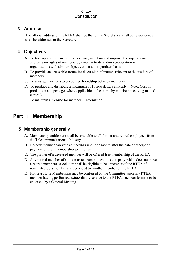## <span id="page-3-0"></span>**3 Address**

The official address of the RTEA shall be that of the Secretary and all correspondence shall be addressed to the Secretary.

## <span id="page-3-1"></span>**4 Objectives**

- A. To take appropriate measures to secure, maintain and improve the superannuation and pension rights of members by direct activity and/or co-operation with organisations with similar objectives, on a non-partisan basis
- B. To provide an accessible forum for discussion of matters relevant to the welfare of members
- C. To arrange functions to encourage friendship between members
- D. To produce and distribute a maximum of 10 newsletters annually. (Note: Cost of production and postage, where applicable, to be borne by members receiving mailed copies.)
- E. To maintain a website for members' information.

## <span id="page-3-2"></span>**Part II Membership**

## <span id="page-3-3"></span>**5 Membership generally**

- A. Membership entitlement shall be available to all former and retired employees from the Telecommunications' Industry.
- B. No new member can vote at meetings until one month after the date of receipt of payment of their membership joining fee
- C. The partner of a deceased member will be offered free membership of the RTEA
- D. Any retired member of a union or telecommunications company which does not have a retired members association shall be eligible to be a member of the RTEA, if nominated by a member and seconded by another member of the RTEA
- E. Honorary Life Membership may be conferred by the Committee upon any RTEA member having performed extraordinary service to the RTEA, such conferment to be endorsed by a General Meeting.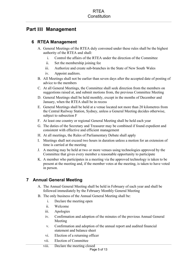## <span id="page-4-0"></span>**Part III Management**

## <span id="page-4-1"></span>**6 RTEA Management**

- A. General Meetings of the RTEA duly convened under these rules shall be the highest authority of the RTEA and shall:
	- i. Control the affairs of the RTEA under the direction of the Committee
	- ii. Set the membership joining fee
	- iii. Authorize and create sub-branches in the State of New South Wales
	- iv. Appoint auditors.
- B. All Meetings shall not be earlier than seven days after the accepted date of posting of advice to the members
- C. At all General Meetings, the Committee shall seek direction from the members on suggestions raised at, and submit motions from, the previous Committee Meeting
- D. General Meetings shall be held monthly, except in the months of December and January, when the RTEA shall be in recess
- E. General Meetings shall be held at a venue located not more than 20 kilometres from the Central Railway Station, Sydney, unless a General Meeting decides otherwise, subject to subsection F
- F. At least one country or regional General Meeting shall be held each year
- G. The duties of the Secretary and Treasurer may be combined if found expedient and consistent with effective and efficient management
- H. At all meetings, the Rules of Parliamentary Debate shall apply
- I. Meetings shall not exceed two hours in duration unless a motion for an extension of time is carried at the meeting
- J. A meeting may be held at two or more venues using technologies approved by the Committee that gives every member a reasonable opportunity to participate
- K. A member who participates in a meeting via the approved technology is taken to be present at the meeting and, if the member votes at the meeting, is taken to have voted in person.

## <span id="page-4-2"></span>**7 Annual General Meeting**

- A. The Annual General Meeting shall be held in February of each year and shall be followed immediately by the February Monthly General Meeting
- B. The only business of the Annual General Meeting shall be:
	- i. Declare the meeting open
	- ii. Welcome
	- iii. Apologies
	- iv. Confirmation and adoption of the minutes of the previous Annual General Meeting
	- v. Confirmation and adoption of the annual report and audited financial statement and balance sheet
	- vi. Election of a returning officer
	- vii. Election of Committee

viii. Declare the meeting closed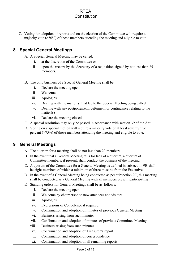C. Voting for adoption of reports and on the election of the Committee will require a majority vote (>50%) of those members attending the meeting and eligible to vote.

## <span id="page-5-0"></span>**8 Special General Meetings**

- A. A Special General Meeting may be called:
	- i. at the discretion of the Committee or
	- ii. upon the receipt by the Secretary of a requisition signed by not less than 25 members.
- B. The only business of a Special General Meeting shall be:
	- i. Declare the meeting open
	- ii. Welcome
	- iii. Apologies
	- iv. Dealing with the matter(s) that led to the Special Meeting being called
	- v. Dealing with any postponement, deferment or continuance relating to the matter(s)
	- vi. Declare the meeting closed.
- C. A special resolution may only be passed in accordance with section 39 of the Act
- D. Voting on a special motion will require a majority vote of at least seventy five percent (>75%) of those members attending the meeting and eligible to vote.

## <span id="page-5-1"></span>**9 General Meetings**

- A. The quorum for a meeting shall be not less than 20 members
- B. In the event that a General Meeting fails for lack of a quorum, a quorum of Committee members, if present, shall conduct the business of the meeting
- C. A quorum of the Committee for a General Meeting as defined in subsection 9B shall be eight members of which a minimum of three must be from the Executive
- D. In the event of a General Meeting being conducted as per subsection 9C, this meeting shall be conducted as a General Meeting with all members present participating
- E. Standing orders for General Meetings shall be as follows:
	- i. Declare the meeting open
	- ii. Welcome by chairperson to new attendees and visitors
	- iii. Apologies
	- iv. Expressions of Condolence if required
	- v. Confirmation and adoption of minutes of previous General Meeting
	- vi. Business arising from such minutes
	- vii. Confirmation and adoption of minutes of previous Committee Meeting
	- viii. Business arising from such minutes
	- ix. Confirmation and adoption of Treasurer's report
	- x. Confirmation and adoption of correspondence
	- xi. Confirmation and adoption of all remaining reports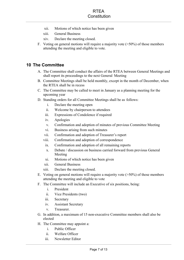- xii. Motions of which notice has been given
- xiii. General Business
- xiv. Declare the meeting closed.
- F. Voting on general motions will require a majority vote (>50%) of those members attending the meeting and eligible to vote.

## <span id="page-6-0"></span>**10 The Committee**

- A. The Committee shall conduct the affairs of the RTEA between General Meetings and shall report its proceedings to the next General Meeting
- B. Committee Meetings shall be held monthly, except in the month of December, when the RTEA shall be in recess
- C. The Committee may be called to meet in January as a planning meeting for the upcoming year
- D. Standing orders for all Committee Meetings shall be as follows:
	- i. Declare the meeting open
	- ii. Welcome by chairperson to attendees
	- iii. Expressions of Condolence if required
	- iv. Apologies
	- v. Confirmation and adoption of minutes of previous Committee Meeting
	- vi. Business arising from such minutes
	- vii. Confirmation and adoption of Treasurer's report
	- viii. Confirmation and adoption of correspondence
		- ix. Confirmation and adoption of all remaining reports
		- x. Debate / discussion on business carried forward from previous General Meeting
		- xi. Motions of which notice has been given
	- xii. General Business
	- xiii. Declare the meeting closed.
- E. Voting on general motions will require a majority vote (>50%) of those members attending the meeting and eligible to vote
- F. The Committee will include an Executive of six positions, being:
	- i. President
	- ii. Vice Presidents (two)
	- iii. Secretary
	- iv. Assistant Secretary
	- v. Treasurer.
- G. In addition, a maximum of 15 non-executive Committee members shall also be elected
- H. The Committee may appoint a:
	- i. Public Officer
	- ii. Welfare Officer
	- iii. Newsletter Editor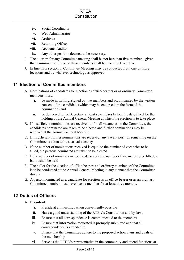- iv. Social Coordinator
- v. Web Administrator
- vi. Archivist
- vii. Returning Officer
- viii. Accounts Auditor
- ix. Any other position deemed to be necessary.
- I. The quorum for any Committee meeting shall be not less than five members, given that a minimum of three of those members shall be from the Executive
- J. In line with section 6, Committee Meetings may be conducted from one or more locations and by whatever technology is approved.

## <span id="page-7-0"></span>**11 Election of Committee members**

- A. Nominations of candidates for election as office-bearers or as ordinary Committee members must:
	- i. be made in writing, signed by two members and accompanied by the written consent of the candidate (which may be endorsed on the form of the nomination) and
	- ii. be delivered to the Secretary at least seven days before the date fixed for the holding of the Annual General Meeting at which the election is to take place.
- B. If insufficient nominations are received to fill all vacancies on the Committee, the candidates nominated are taken to be elected and further nominations may be received at the Annual General Meeting
- C. If insufficient further nominations are received, any vacant position remaining on the Committee is taken to be a casual vacancy
- D. If the number of nominations received is equal to the number of vacancies to be filled, the persons nominated are taken to be elected
- E. If the number of nominations received exceeds the number of vacancies to be filled, a ballot shall be held
- F. The ballot for the election of office-bearers and ordinary members of the Committee is to be conducted at the Annual General Meeting in any manner that the Committee directs
- G. A person nominated as a candidate for election as an office-bearer or as an ordinary Committee member must have been a member for at least three months.

## <span id="page-7-1"></span>**12 Duties of Officers**

#### **A. President**

- i. Preside at all meetings when conveniently possible
- ii. Have a good understanding of the RTEA's Constitution and by-laws
- iii. Ensure that all correspondence is communicated to the members
- iv. Ensure that information requested is promptly submitted and that all correspondence is attended to
- v. Ensure that the Committee adhere to the proposed action plans and goals of the membership
- vi. Serve as the RTEA's representative in the community and attend functions at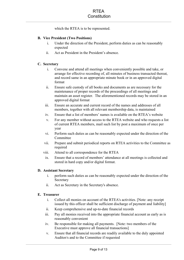which the RTEA is to be represented.

#### **B. Vice President (Two Positions)**

- i. Under the direction of the President, perform duties as can be reasonably expected
- ii. Act as President in the President's absence.

#### **C. Secretary**

- i. Convene and attend all meetings when conveniently possible and take, or arrange for effective recording of, all minutes of business transacted thereat, and record same in an appropriate minute book or in an approved digital format
- ii. Ensure safe custody of all books and documents as are necessary for the maintenance of proper records of the proceedings of all meetings and maintain an asset register. The aforementioned records may be stored in an approved digital format
- iii. Ensure an accurate and current record of the names and addresses of all members, together with all relevant membership data, is maintained
- iv. Ensure that a list of members' names is available on the RTEA's website
- v. For any member without access to the RTEA website and who requests a list of current RTEA members, mail such list by post a maximum of once per year
- vi. Perform such duties as can be reasonably expected under the direction of the **Committee**
- vii. Prepare and submit periodical reports on RTEA activities to the Committee as required
- viii. Attend to all correspondence for the RTEA
- ix. Ensure that a record of members' attendance at all meetings is collected and stored in hard copy and/or digital format.

#### **D. Assistant Secretary**

- i. perform such duties as can be reasonably expected under the direction of the Secretary
- ii. Act as Secretary in the Secretary's absence.

#### **E. Treasurer**

- i. Collect all monies on account of the RTEA's activities. [Note: any receipt issued by this officer shall be sufficient discharge of payment and liability]
- ii. Keep comprehensive and up-to-date financial records
- iii. Pay all monies received into the appropriate financial account as early as is reasonably convenient
- iv. Be responsible for making all payments. [Note: two members of the Executive must approve all financial transactions]
- v. Ensure that all financial records are readily available to the duly appointed Auditor/s and to the Committee if requested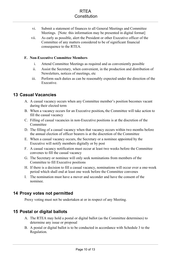- vi. Submit a statement of finances to all General Meetings and Committee Meetings. [Note: this information may be presented in digital format]
- vii. As early as possible, alert the President or other Executive officer of the Committee of any matters considered to be of significant financial consequence to the RTEA.

#### **F. Non-Executive Committee Members**

- i. Attend Committee Meetings as required and as conveniently possible
- ii. Assist the Secretary, when convenient, in the production and distribution of Newsletters, notices of meetings, etc
- iii. Perform such duties as can be reasonably expected under the direction of the Executive.

## <span id="page-9-0"></span>**13 Casual Vacancies**

- A. A casual vacancy occurs when any Committee member's position becomes vacant during their elected term
- B. When a vacancy occurs for an Executive position**,** the Committee will take action to fill the casual vacancy
- C. Filling of casual vacancies in non-Executive positions is at the discretion of the Committee
- D. The filling of a casual vacancy when that vacancy occurs within two months before the annual election of officer bearers is at the discretion of the Committee
- E. When a casual vacancy occurs, the Secretary or a nominee appointed by the Executive will notify members digitally or by post
- F. A casual vacancy notification must occur at least two weeks before the Committee convenes to fill the casual vacancy
- G. The Secretary or nominee will only seek nominations from members of the Committee to fill Executive positions
- H. If there is a decision to fill a casual vacancy, nominations will occur over a one-week period which shall end at least one week before the Committee convenes
- I. The nomination must have a mover and seconder and have the consent of the nominee.

## <span id="page-9-1"></span>**14 Proxy votes not permitted**

Proxy voting must not be undertaken at or in respect of any Meeting.

## <span id="page-9-2"></span>**15 Postal or digital ballots**

- A. The RTEA may hold a postal or digital ballot (as the Committee determines) to determine any issue or proposal
- B. A postal or digital ballot is to be conducted in accordance with Schedule 3 to the Regulation.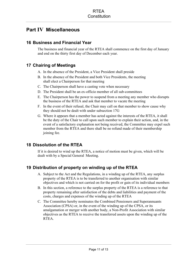## <span id="page-10-0"></span>**Part IV Miscellaneous**

## <span id="page-10-1"></span>**16 Business and Financial Year**

The business and financial year of the RTEA shall commence on the first day of January and end on the thirty first day of December each year.

## <span id="page-10-2"></span>**17 Chairing of Meetings**

- A. In the absence of the President, a Vice President shall preside
- B. In the absence of the President and both Vice Presidents, the meeting shall elect a Chairperson for that meeting
- C. The Chairperson shall have a casting vote when necessary
- D. The President shall be an ex-officio member of all sub-committees
- E. The Chairperson has the power to suspend from a meeting any member who disrupts the business of the RTEA and ask that member to vacate the meeting
- F. In the event of their refusal, the Chair may call on that member to show cause why they should not be dealt with under subsection 17G
- G. Where it appears that a member has acted against the interests of the RTEA, it shall be the duty of the Chair to call upon such member to explain their action, and, in the event of a satisfactory explanation not being received, the Committee may expel such member from the RTEA and there shall be no refund made of their membership joining fee.

## <span id="page-10-3"></span>**18 Dissolution of the RTEA**

If it is desired to wind up the RTEA, a notice of motion must be given, which will be dealt with by a Special General Meeting.

## <span id="page-10-4"></span>**19 Distribution of property on winding up of the RTEA**

- A. Subject to the Act and the Regulations, in a winding up of the RTEA, any surplus property of the RTEA is to be transferred to another organisation with similar objectives and which is not carried on for the profit or gain of its individual members
- B. In this section, a reference to the surplus property of the RTEA is a reference to that property remaining after satisfaction of the debts and liabilities and payment of the costs, charges and expenses of the winding up of the RTEA
- C. The Committee hereby nominates the Combined Pensioners and Superannuants Association (CPSA) or, in the event of the winding up of the CPSA, or its amalgamation or merger with another body, a Non-Profit Association with similar objectives as the RTEA to receive the transferred assets upon the winding up of the **RTEA**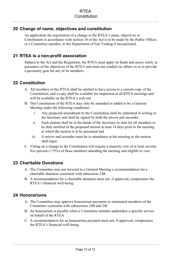## <span id="page-11-0"></span>**20 Change of name, objectives and constitution**

An application for registration of a change in the RTEA's name, objectives or Constitution in accordance with section 10 of the Act is to be made by the Public Officer, or a Committee member, to the Department of Fair Trading if incorporated.

## <span id="page-11-1"></span>**21 RTEA is a non-profit association**

Subject to the Act and the Regulation, the RTEA must apply its funds and assets solely in pursuance of the objectives of the RTEA and must not conduct its affairs so as to provide a pecuniary gain for any of its members.

## <span id="page-11-2"></span>**22 Constitution**

- A. All members of the RTEA shall be entitled to have access to a current copy of the Constitution, and a copy shall be available for inspection at all RTEA meetings and will be available on the RTEA's web site
- B. The Constitution of the RTEA may only be amended or added to by a General Meeting under the following conditions:
	- i. Any proposed amendment to the Constitution shall be submitted in writing to the Secretary and shall be signed by both the mover and seconder
	- ii. Such motion shall be in the hands of the Secretary in time for all members to be duly notified of the proposed motion at least 14 days prior to the meeting at which the motion is to be presented and
	- iii. A mover and seconder must be in attendance at the meeting or the motion shall lapse.
- C. Voting on a change to the Constitution will require a majority vote of at least seventy five percent (>75%) of those members attending the meeting and eligible to vote.

## <span id="page-11-3"></span>**23 Charitable Donations**

- A. The Committee may put forward to a General Meeting a recommendation for a charitable donation consistent with subsection 23B
- B. A recommendation for a charitable donation must not, if approved, compromise the RTEA's financial well-being.

## <span id="page-11-4"></span>**24 Honorariums**

- A. The Committee may approve honorarium payments to nominated members of the Committee consistent with subsections 24B and 24C
- B. An honorarium is payable when a Committee member undertakes a specific service on behalf of the RTEA
- C. A recommendation for an honorarium payment must not, if approved, compromise the RTEA's financial well-being.